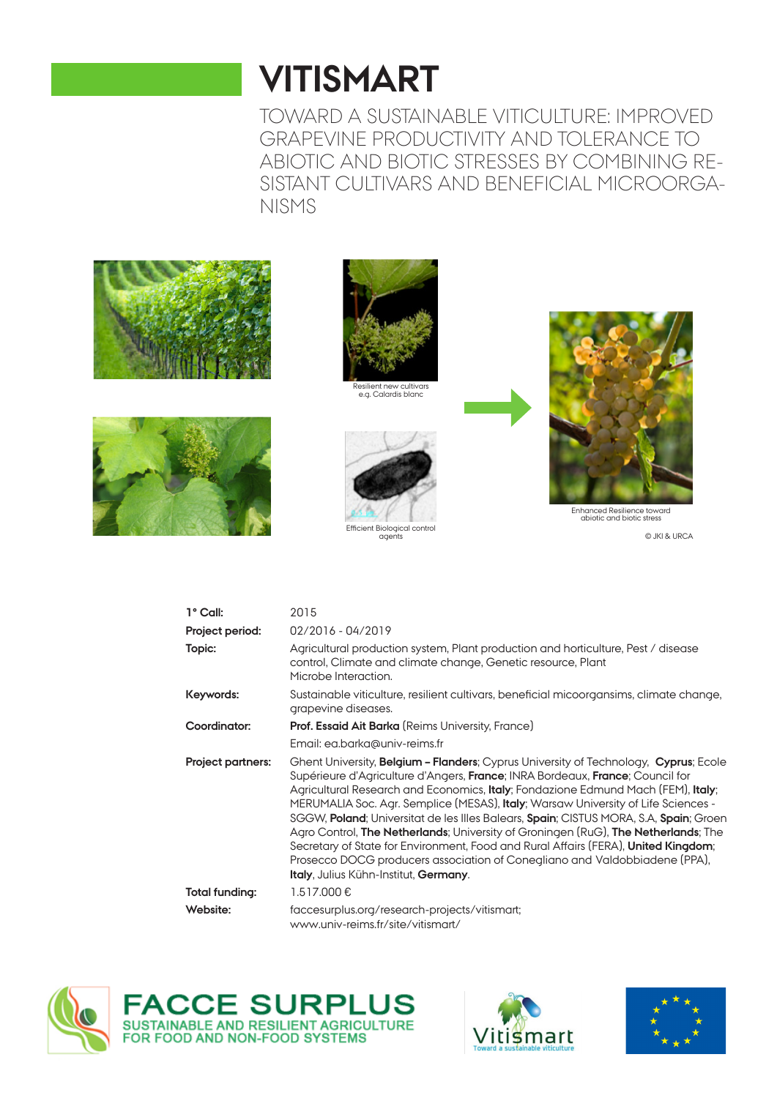# **VITISMART**

TOWARD A SUSTAINABLE VITICULTURE: IMPROVED GRAPEVINE PRODUCTIVITY AND TOLERANCE TO ABIOTIC AND BIOTIC STRESSES BY COMBINING RE-SISTANT CULTIVARS AND BENEFICIAL MICROORGA-NISMS







Resilient new cultivars e.g. Calardis blanc





abiotic and biotic stress

© JKI & URCA

| 1° Call:          | 2015                                                                                                                                                                                                                                                                                                                                                                                                                                                                                                                                                                                                                                                                                                                                                      |
|-------------------|-----------------------------------------------------------------------------------------------------------------------------------------------------------------------------------------------------------------------------------------------------------------------------------------------------------------------------------------------------------------------------------------------------------------------------------------------------------------------------------------------------------------------------------------------------------------------------------------------------------------------------------------------------------------------------------------------------------------------------------------------------------|
| Project period:   | 02/2016 - 04/2019                                                                                                                                                                                                                                                                                                                                                                                                                                                                                                                                                                                                                                                                                                                                         |
| Topic:            | Agricultural production system, Plant production and horticulture, Pest / disease<br>control, Climate and climate change, Genetic resource, Plant<br>Microbe Interaction.                                                                                                                                                                                                                                                                                                                                                                                                                                                                                                                                                                                 |
| Keywords:         | Sustainable viticulture, resilient cultivars, beneficial micoorgansims, climate change,<br>grapevine diseases.                                                                                                                                                                                                                                                                                                                                                                                                                                                                                                                                                                                                                                            |
| Coordinator:      | <b>Prof. Essaid Ait Barka</b> (Reims University, France)                                                                                                                                                                                                                                                                                                                                                                                                                                                                                                                                                                                                                                                                                                  |
|                   | Email: ea.barka@univ-reims.fr                                                                                                                                                                                                                                                                                                                                                                                                                                                                                                                                                                                                                                                                                                                             |
| Project partners: | Ghent University, <b>Belgium - Flanders</b> ; Cyprus University of Technology, Cyprus; Ecole<br>Supérieure d'Agriculture d'Angers, France; INRA Bordeaux, France; Council for<br>Agricultural Research and Economics, Italy; Fondazione Edmund Mach (FEM), Italy;<br>MERUMALIA Soc. Agr. Semplice (MESAS), Italy; Warsaw University of Life Sciences -<br>SGGW, Poland; Universitat de les Illes Balears, Spain; CISTUS MORA, S.A, Spain; Groen<br>Agro Control, The Netherlands; University of Groningen (RuG), The Netherlands; The<br>Secretary of State for Environment, Food and Rural Affairs (FERA), United Kingdom;<br>Prosecco DOCG producers association of Conegliano and Valdobbiadene (PPA),<br><b>Italy, Julius Kühn-Institut, Germany.</b> |
| Total funding:    | 1.517.000€                                                                                                                                                                                                                                                                                                                                                                                                                                                                                                                                                                                                                                                                                                                                                |
| Website:          | faccesurplus.org/research-projects/vitismart;<br>www.univ-reims.fr/site/vitismart/                                                                                                                                                                                                                                                                                                                                                                                                                                                                                                                                                                                                                                                                        |